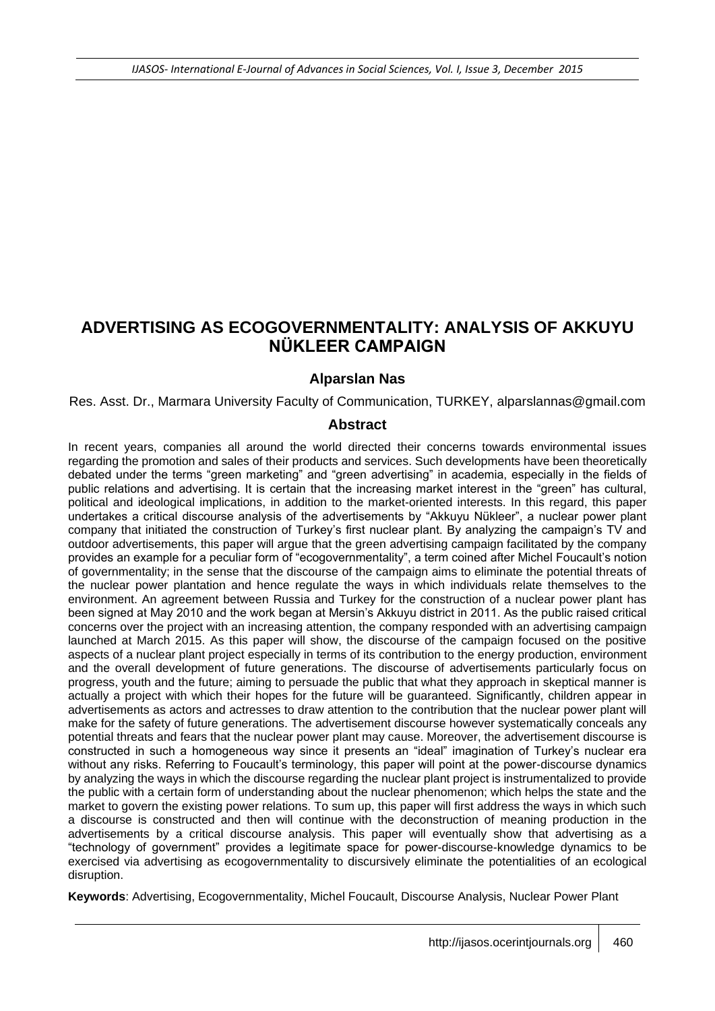# **ADVERTISING AS ECOGOVERNMENTALITY: ANALYSIS OF AKKUYU NÜKLEER CAMPAIGN**

#### **Alparslan Nas**

Res. Asst. Dr., Marmara University Faculty of Communication, TURKEY, [alparslannas@gmail.com](mailto:alparslannas@gmail.com)

#### **Abstract**

In recent years, companies all around the world directed their concerns towards environmental issues regarding the promotion and sales of their products and services. Such developments have been theoretically debated under the terms "green marketing" and "green advertising" in academia, especially in the fields of public relations and advertising. It is certain that the increasing market interest in the "green" has cultural, political and ideological implications, in addition to the market-oriented interests. In this regard, this paper undertakes a critical discourse analysis of the advertisements by "Akkuyu Nükleer", a nuclear power plant company that initiated the construction of Turkey's first nuclear plant. By analyzing the campaign's TV and outdoor advertisements, this paper will argue that the green advertising campaign facilitated by the company provides an example for a peculiar form of "ecogovernmentality", a term coined after Michel Foucault's notion of governmentality; in the sense that the discourse of the campaign aims to eliminate the potential threats of the nuclear power plantation and hence regulate the ways in which individuals relate themselves to the environment. An agreement between Russia and Turkey for the construction of a nuclear power plant has been signed at May 2010 and the work began at Mersin's Akkuyu district in 2011. As the public raised critical concerns over the project with an increasing attention, the company responded with an advertising campaign launched at March 2015. As this paper will show, the discourse of the campaign focused on the positive aspects of a nuclear plant project especially in terms of its contribution to the energy production, environment and the overall development of future generations. The discourse of advertisements particularly focus on progress, youth and the future; aiming to persuade the public that what they approach in skeptical manner is actually a project with which their hopes for the future will be guaranteed. Significantly, children appear in advertisements as actors and actresses to draw attention to the contribution that the nuclear power plant will make for the safety of future generations. The advertisement discourse however systematically conceals any potential threats and fears that the nuclear power plant may cause. Moreover, the advertisement discourse is constructed in such a homogeneous way since it presents an "ideal" imagination of Turkey's nuclear era without any risks. Referring to Foucault's terminology, this paper will point at the power-discourse dynamics by analyzing the ways in which the discourse regarding the nuclear plant project is instrumentalized to provide the public with a certain form of understanding about the nuclear phenomenon; which helps the state and the market to govern the existing power relations. To sum up, this paper will first address the ways in which such a discourse is constructed and then will continue with the deconstruction of meaning production in the advertisements by a critical discourse analysis. This paper will eventually show that advertising as a "technology of government" provides a legitimate space for power-discourse-knowledge dynamics to be exercised via advertising as ecogovernmentality to discursively eliminate the potentialities of an ecological disruption.

**Keywords**: Advertising, Ecogovernmentality, Michel Foucault, Discourse Analysis, Nuclear Power Plant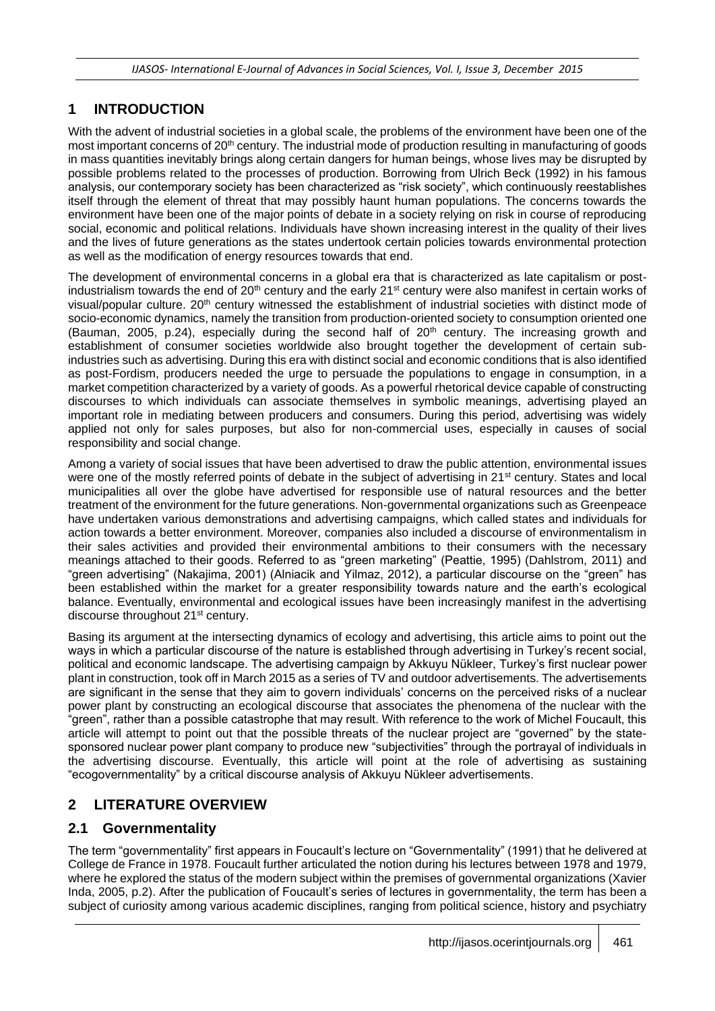# **1 INTRODUCTION**

With the advent of industrial societies in a global scale, the problems of the environment have been one of the most important concerns of 20<sup>th</sup> century. The industrial mode of production resulting in manufacturing of goods in mass quantities inevitably brings along certain dangers for human beings, whose lives may be disrupted by possible problems related to the processes of production. Borrowing from Ulrich Beck (1992) in his famous analysis, our contemporary society has been characterized as "risk society", which continuously reestablishes itself through the element of threat that may possibly haunt human populations. The concerns towards the environment have been one of the major points of debate in a society relying on risk in course of reproducing social, economic and political relations. Individuals have shown increasing interest in the quality of their lives and the lives of future generations as the states undertook certain policies towards environmental protection as well as the modification of energy resources towards that end.

The development of environmental concerns in a global era that is characterized as late capitalism or postindustrialism towards the end of  $20<sup>th</sup>$  century and the early  $21<sup>st</sup>$  century were also manifest in certain works of visual/popular culture. 20<sup>th</sup> century witnessed the establishment of industrial societies with distinct mode of socio-economic dynamics, namely the transition from production-oriented society to consumption oriented one (Bauman, 2005, p.24), especially during the second half of  $20<sup>th</sup>$  century. The increasing growth and establishment of consumer societies worldwide also brought together the development of certain subindustries such as advertising. During this era with distinct social and economic conditions that is also identified as post-Fordism, producers needed the urge to persuade the populations to engage in consumption, in a market competition characterized by a variety of goods. As a powerful rhetorical device capable of constructing discourses to which individuals can associate themselves in symbolic meanings, advertising played an important role in mediating between producers and consumers. During this period, advertising was widely applied not only for sales purposes, but also for non-commercial uses, especially in causes of social responsibility and social change.

Among a variety of social issues that have been advertised to draw the public attention, environmental issues were one of the mostly referred points of debate in the subject of advertising in 21<sup>st</sup> century. States and local municipalities all over the globe have advertised for responsible use of natural resources and the better treatment of the environment for the future generations. Non-governmental organizations such as Greenpeace have undertaken various demonstrations and advertising campaigns, which called states and individuals for action towards a better environment. Moreover, companies also included a discourse of environmentalism in their sales activities and provided their environmental ambitions to their consumers with the necessary meanings attached to their goods. Referred to as "green marketing" (Peattie, 1995) (Dahlstrom, 2011) and "green advertising" (Nakajima, 2001) (Alniacik and Yilmaz, 2012), a particular discourse on the "green" has been established within the market for a greater responsibility towards nature and the earth's ecological balance. Eventually, environmental and ecological issues have been increasingly manifest in the advertising discourse throughout 21<sup>st</sup> century.

Basing its argument at the intersecting dynamics of ecology and advertising, this article aims to point out the ways in which a particular discourse of the nature is established through advertising in Turkey's recent social, political and economic landscape. The advertising campaign by Akkuyu Nükleer, Turkey's first nuclear power plant in construction, took off in March 2015 as a series of TV and outdoor advertisements. The advertisements are significant in the sense that they aim to govern individuals' concerns on the perceived risks of a nuclear power plant by constructing an ecological discourse that associates the phenomena of the nuclear with the "green", rather than a possible catastrophe that may result. With reference to the work of Michel Foucault, this article will attempt to point out that the possible threats of the nuclear project are "governed" by the statesponsored nuclear power plant company to produce new "subjectivities" through the portrayal of individuals in the advertising discourse. Eventually, this article will point at the role of advertising as sustaining "ecogovernmentality" by a critical discourse analysis of Akkuyu Nükleer advertisements.

# **2 LITERATURE OVERVIEW**

## **2.1 Governmentality**

The term "governmentality" first appears in Foucault's lecture on "Governmentality" (1991) that he delivered at College de France in 1978. Foucault further articulated the notion during his lectures between 1978 and 1979, where he explored the status of the modern subject within the premises of governmental organizations (Xavier Inda, 2005, p.2). After the publication of Foucault's series of lectures in governmentality, the term has been a subject of curiosity among various academic disciplines, ranging from political science, history and psychiatry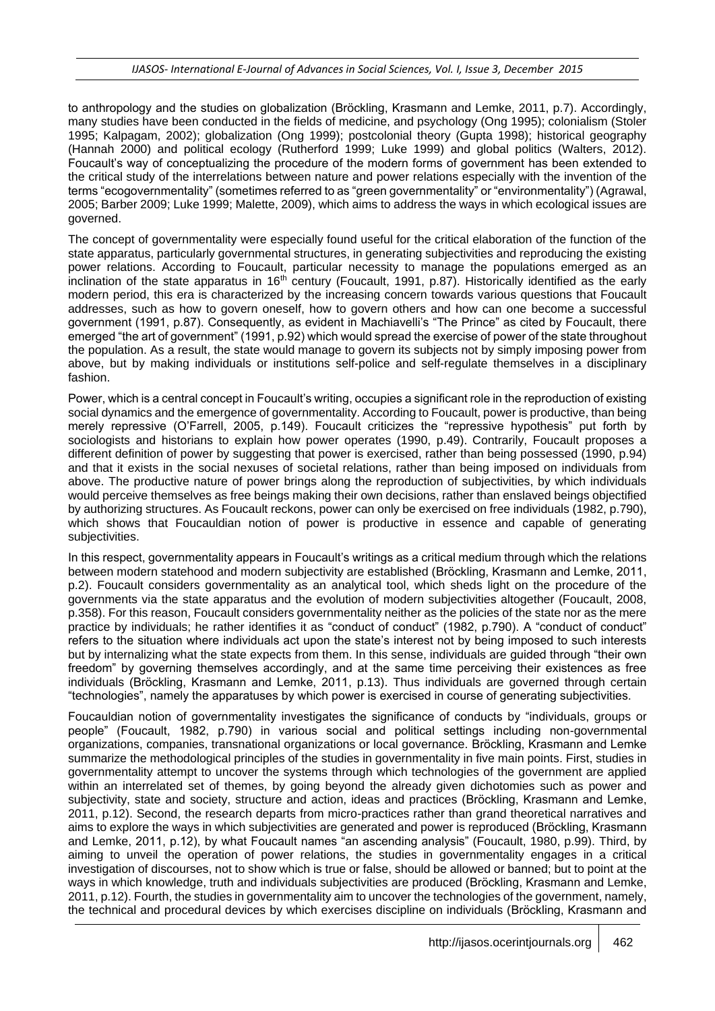to anthropology and the studies on globalization (Bröckling, Krasmann and Lemke, 2011, p.7). Accordingly, many studies have been conducted in the fields of medicine, and psychology (Ong 1995); colonialism (Stoler 1995; Kalpagam, 2002); globalization (Ong 1999); postcolonial theory (Gupta 1998); historical geography (Hannah 2000) and political ecology (Rutherford 1999; Luke 1999) and global politics (Walters, 2012). Foucault's way of conceptualizing the procedure of the modern forms of government has been extended to the critical study of the interrelations between nature and power relations especially with the invention of the terms "ecogovernmentality" (sometimes referred to as "green governmentality" or "environmentality") (Agrawal, 2005; Barber 2009; Luke 1999; Malette, 2009), which aims to address the ways in which ecological issues are governed.

The concept of governmentality were especially found useful for the critical elaboration of the function of the state apparatus, particularly governmental structures, in generating subjectivities and reproducing the existing power relations. According to Foucault, particular necessity to manage the populations emerged as an inclination of the state apparatus in 16<sup>th</sup> century (Foucault, 1991, p.87). Historically identified as the early modern period, this era is characterized by the increasing concern towards various questions that Foucault addresses, such as how to govern oneself, how to govern others and how can one become a successful government (1991, p.87). Consequently, as evident in Machiavelli's "The Prince" as cited by Foucault, there emerged "the art of government" (1991, p.92) which would spread the exercise of power of the state throughout the population. As a result, the state would manage to govern its subjects not by simply imposing power from above, but by making individuals or institutions self-police and self-regulate themselves in a disciplinary fashion.

Power, which is a central concept in Foucault's writing, occupies a significant role in the reproduction of existing social dynamics and the emergence of governmentality. According to Foucault, power is productive, than being merely repressive (O'Farrell, 2005, p.149). Foucault criticizes the "repressive hypothesis" put forth by sociologists and historians to explain how power operates (1990, p.49). Contrarily, Foucault proposes a different definition of power by suggesting that power is exercised, rather than being possessed (1990, p.94) and that it exists in the social nexuses of societal relations, rather than being imposed on individuals from above. The productive nature of power brings along the reproduction of subjectivities, by which individuals would perceive themselves as free beings making their own decisions, rather than enslaved beings objectified by authorizing structures. As Foucault reckons, power can only be exercised on free individuals (1982, p.790), which shows that Foucauldian notion of power is productive in essence and capable of generating subjectivities.

In this respect, governmentality appears in Foucault's writings as a critical medium through which the relations between modern statehood and modern subjectivity are established (Bröckling, Krasmann and Lemke, 2011, p.2). Foucault considers governmentality as an analytical tool, which sheds light on the procedure of the governments via the state apparatus and the evolution of modern subjectivities altogether (Foucault, 2008, p.358). For this reason, Foucault considers governmentality neither as the policies of the state nor as the mere practice by individuals; he rather identifies it as "conduct of conduct" (1982, p.790). A "conduct of conduct" refers to the situation where individuals act upon the state's interest not by being imposed to such interests but by internalizing what the state expects from them. In this sense, individuals are guided through "their own freedom" by governing themselves accordingly, and at the same time perceiving their existences as free individuals (Bröckling, Krasmann and Lemke, 2011, p.13). Thus individuals are governed through certain "technologies", namely the apparatuses by which power is exercised in course of generating subjectivities.

Foucauldian notion of governmentality investigates the significance of conducts by "individuals, groups or people" (Foucault, 1982, p.790) in various social and political settings including non-governmental organizations, companies, transnational organizations or local governance. Bröckling, Krasmann and Lemke summarize the methodological principles of the studies in governmentality in five main points. First, studies in governmentality attempt to uncover the systems through which technologies of the government are applied within an interrelated set of themes, by going beyond the already given dichotomies such as power and subjectivity, state and society, structure and action, ideas and practices (Bröckling, Krasmann and Lemke, 2011, p.12). Second, the research departs from micro-practices rather than grand theoretical narratives and aims to explore the ways in which subjectivities are generated and power is reproduced (Bröckling, Krasmann and Lemke, 2011, p.12), by what Foucault names "an ascending analysis" (Foucault, 1980, p.99). Third, by aiming to unveil the operation of power relations, the studies in governmentality engages in a critical investigation of discourses, not to show which is true or false, should be allowed or banned; but to point at the ways in which knowledge, truth and individuals subjectivities are produced (Bröckling, Krasmann and Lemke, 2011, p.12). Fourth, the studies in governmentality aim to uncover the technologies of the government, namely, the technical and procedural devices by which exercises discipline on individuals (Bröckling, Krasmann and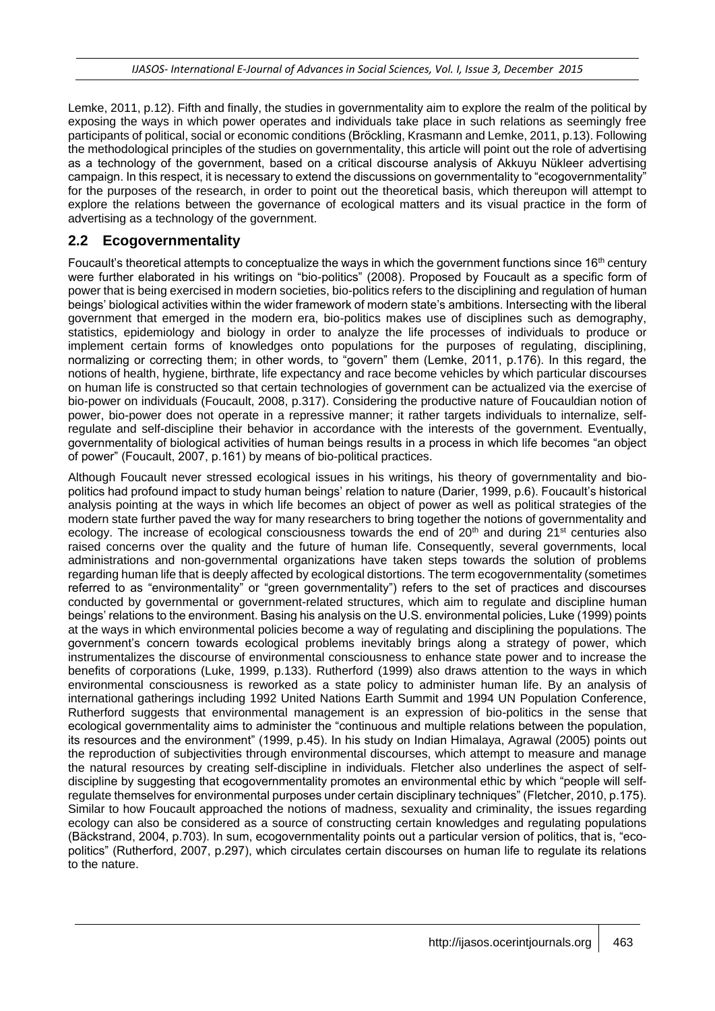Lemke, 2011, p.12). Fifth and finally, the studies in governmentality aim to explore the realm of the political by exposing the ways in which power operates and individuals take place in such relations as seemingly free participants of political, social or economic conditions (Bröckling, Krasmann and Lemke, 2011, p.13). Following the methodological principles of the studies on governmentality, this article will point out the role of advertising as a technology of the government, based on a critical discourse analysis of Akkuyu Nükleer advertising campaign. In this respect, it is necessary to extend the discussions on governmentality to "ecogovernmentality" for the purposes of the research, in order to point out the theoretical basis, which thereupon will attempt to explore the relations between the governance of ecological matters and its visual practice in the form of advertising as a technology of the government.

### **2.2 Ecogovernmentality**

Foucault's theoretical attempts to conceptualize the ways in which the government functions since 16<sup>th</sup> century were further elaborated in his writings on "bio-politics" (2008). Proposed by Foucault as a specific form of power that is being exercised in modern societies, bio-politics refers to the disciplining and regulation of human beings' biological activities within the wider framework of modern state's ambitions. Intersecting with the liberal government that emerged in the modern era, bio-politics makes use of disciplines such as demography, statistics, epidemiology and biology in order to analyze the life processes of individuals to produce or implement certain forms of knowledges onto populations for the purposes of regulating, disciplining, normalizing or correcting them; in other words, to "govern" them (Lemke, 2011, p.176). In this regard, the notions of health, hygiene, birthrate, life expectancy and race become vehicles by which particular discourses on human life is constructed so that certain technologies of government can be actualized via the exercise of bio-power on individuals (Foucault, 2008, p.317). Considering the productive nature of Foucauldian notion of power, bio-power does not operate in a repressive manner; it rather targets individuals to internalize, selfregulate and self-discipline their behavior in accordance with the interests of the government. Eventually, governmentality of biological activities of human beings results in a process in which life becomes "an object of power" (Foucault, 2007, p.161) by means of bio-political practices.

Although Foucault never stressed ecological issues in his writings, his theory of governmentality and biopolitics had profound impact to study human beings' relation to nature (Darier, 1999, p.6). Foucault's historical analysis pointing at the ways in which life becomes an object of power as well as political strategies of the modern state further paved the way for many researchers to bring together the notions of governmentality and ecology. The increase of ecological consciousness towards the end of  $20<sup>th</sup>$  and during  $21<sup>st</sup>$  centuries also raised concerns over the quality and the future of human life. Consequently, several governments, local administrations and non-governmental organizations have taken steps towards the solution of problems regarding human life that is deeply affected by ecological distortions. The term ecogovernmentality (sometimes referred to as "environmentality" or "green governmentality") refers to the set of practices and discourses conducted by governmental or government-related structures, which aim to regulate and discipline human beings' relations to the environment. Basing his analysis on the U.S. environmental policies, Luke (1999) points at the ways in which environmental policies become a way of regulating and disciplining the populations. The government's concern towards ecological problems inevitably brings along a strategy of power, which instrumentalizes the discourse of environmental consciousness to enhance state power and to increase the benefits of corporations (Luke, 1999, p.133). Rutherford (1999) also draws attention to the ways in which environmental consciousness is reworked as a state policy to administer human life. By an analysis of international gatherings including 1992 United Nations Earth Summit and 1994 UN Population Conference, Rutherford suggests that environmental management is an expression of bio-politics in the sense that ecological governmentality aims to administer the "continuous and multiple relations between the population, its resources and the environment" (1999, p.45). In his study on Indian Himalaya, Agrawal (2005) points out the reproduction of subjectivities through environmental discourses, which attempt to measure and manage the natural resources by creating self-discipline in individuals. Fletcher also underlines the aspect of selfdiscipline by suggesting that ecogovernmentality promotes an environmental ethic by which "people will selfregulate themselves for environmental purposes under certain disciplinary techniques" (Fletcher, 2010, p.175). Similar to how Foucault approached the notions of madness, sexuality and criminality, the issues regarding ecology can also be considered as a source of constructing certain knowledges and regulating populations (Bäckstrand, 2004, p.703). In sum, ecogovernmentality points out a particular version of politics, that is, "ecopolitics" (Rutherford, 2007, p.297), which circulates certain discourses on human life to regulate its relations to the nature.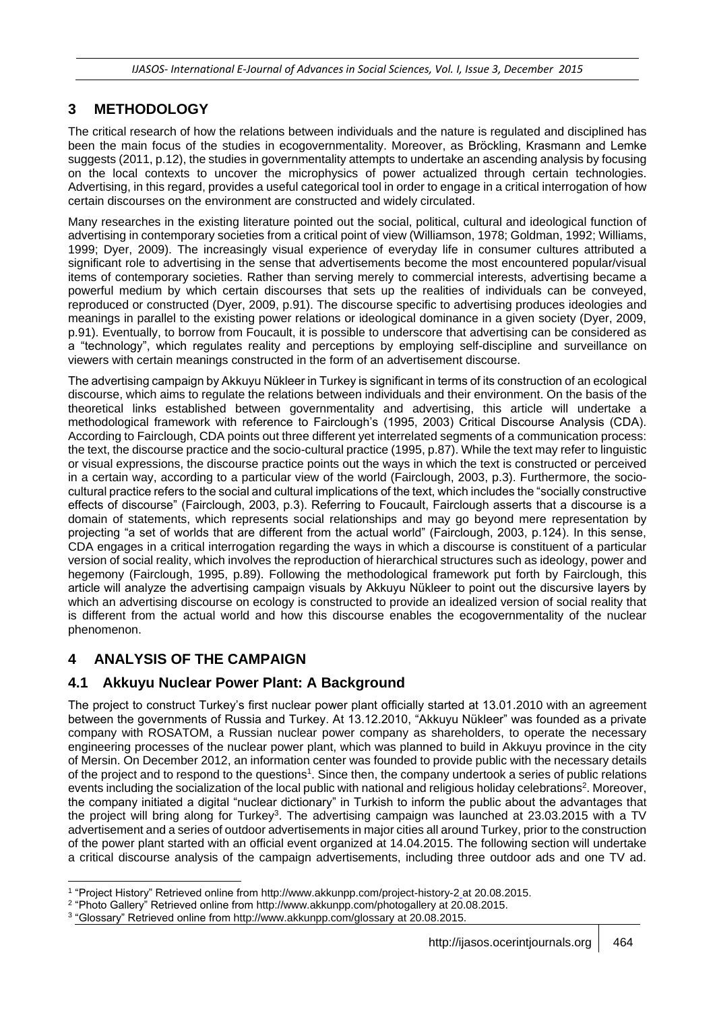## **3 METHODOLOGY**

The critical research of how the relations between individuals and the nature is regulated and disciplined has been the main focus of the studies in ecogovernmentality. Moreover, as Bröckling, Krasmann and Lemke suggests (2011, p.12), the studies in governmentality attempts to undertake an ascending analysis by focusing on the local contexts to uncover the microphysics of power actualized through certain technologies. Advertising, in this regard, provides a useful categorical tool in order to engage in a critical interrogation of how certain discourses on the environment are constructed and widely circulated.

Many researches in the existing literature pointed out the social, political, cultural and ideological function of advertising in contemporary societies from a critical point of view (Williamson, 1978; Goldman, 1992; Williams, 1999; Dyer, 2009). The increasingly visual experience of everyday life in consumer cultures attributed a significant role to advertising in the sense that advertisements become the most encountered popular/visual items of contemporary societies. Rather than serving merely to commercial interests, advertising became a powerful medium by which certain discourses that sets up the realities of individuals can be conveyed, reproduced or constructed (Dyer, 2009, p.91). The discourse specific to advertising produces ideologies and meanings in parallel to the existing power relations or ideological dominance in a given society (Dyer, 2009, p.91). Eventually, to borrow from Foucault, it is possible to underscore that advertising can be considered as a "technology", which regulates reality and perceptions by employing self-discipline and surveillance on viewers with certain meanings constructed in the form of an advertisement discourse.

The advertising campaign by Akkuyu Nükleer in Turkey is significant in terms of its construction of an ecological discourse, which aims to regulate the relations between individuals and their environment. On the basis of the theoretical links established between governmentality and advertising, this article will undertake a methodological framework with reference to Fairclough's (1995, 2003) Critical Discourse Analysis (CDA). According to Fairclough, CDA points out three different yet interrelated segments of a communication process: the text, the discourse practice and the socio-cultural practice (1995, p.87). While the text may refer to linguistic or visual expressions, the discourse practice points out the ways in which the text is constructed or perceived in a certain way, according to a particular view of the world (Fairclough, 2003, p.3). Furthermore, the sociocultural practice refers to the social and cultural implications of the text, which includes the "socially constructive effects of discourse" (Fairclough, 2003, p.3). Referring to Foucault, Fairclough asserts that a discourse is a domain of statements, which represents social relationships and may go beyond mere representation by projecting "a set of worlds that are different from the actual world" (Fairclough, 2003, p.124). In this sense, CDA engages in a critical interrogation regarding the ways in which a discourse is constituent of a particular version of social reality, which involves the reproduction of hierarchical structures such as ideology, power and hegemony (Fairclough, 1995, p.89). Following the methodological framework put forth by Fairclough, this article will analyze the advertising campaign visuals by Akkuyu Nükleer to point out the discursive layers by which an advertising discourse on ecology is constructed to provide an idealized version of social reality that is different from the actual world and how this discourse enables the ecogovernmentality of the nuclear phenomenon.

## **4 ANALYSIS OF THE CAMPAIGN**

## **4.1 Akkuyu Nuclear Power Plant: A Background**

The project to construct Turkey's first nuclear power plant officially started at 13.01.2010 with an agreement between the governments of Russia and Turkey. At 13.12.2010, "Akkuyu Nükleer" was founded as a private company with ROSATOM, a Russian nuclear power company as shareholders, to operate the necessary engineering processes of the nuclear power plant, which was planned to build in Akkuyu province in the city of Mersin. On December 2012, an information center was founded to provide public with the necessary details of the project and to respond to the questions<sup>1</sup>. Since then, the company undertook a series of public relations events including the socialization of the local public with national and religious holiday celebrations<sup>2</sup>. Moreover, the company initiated a digital "nuclear dictionary" in Turkish to inform the public about the advantages that the project will bring along for Turkey<sup>3</sup>. The advertising campaign was launched at 23.03.2015 with a TV advertisement and a series of outdoor advertisements in major cities all around Turkey, prior to the construction of the power plant started with an official event organized at 14.04.2015. The following section will undertake a critical discourse analysis of the campaign advertisements, including three outdoor ads and one TV ad.

l 1 "Project History" Retrieved online from http://www.akkunpp.com/project-history-2 at 20.08.2015.

<sup>2</sup> "Photo Gallery" Retrieved online from http://www.akkunpp.com/photogallery at 20.08.2015.

<sup>3</sup> "Glossary" Retrieved online from http://www.akkunpp.com/glossary at 20.08.2015.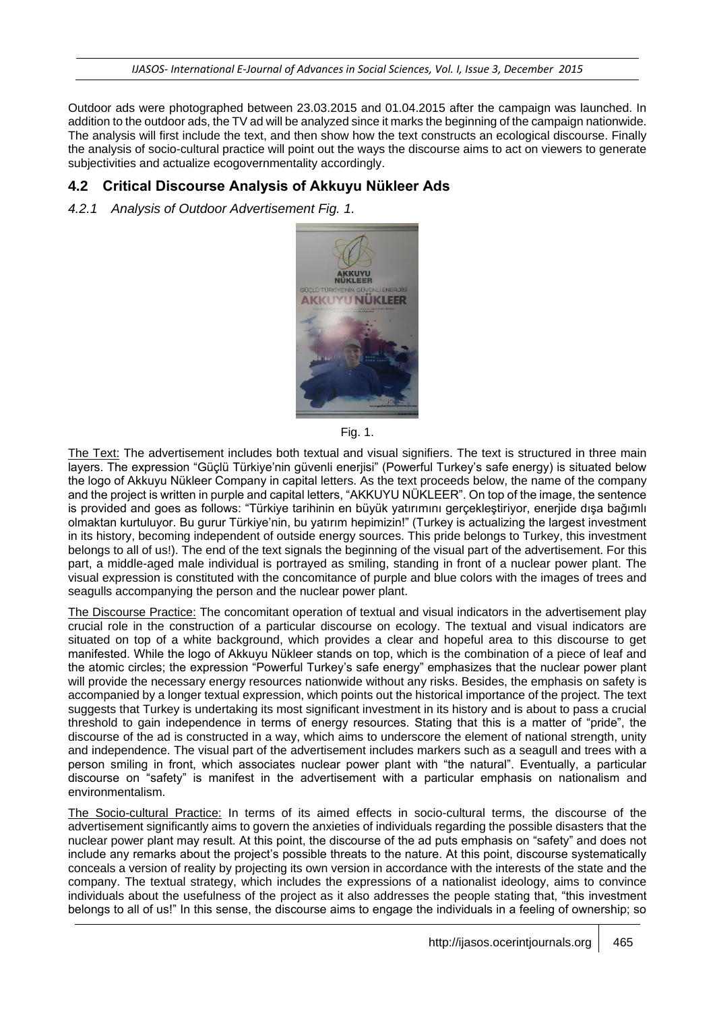Outdoor ads were photographed between 23.03.2015 and 01.04.2015 after the campaign was launched. In addition to the outdoor ads, the TV ad will be analyzed since it marks the beginning of the campaign nationwide. The analysis will first include the text, and then show how the text constructs an ecological discourse. Finally the analysis of socio-cultural practice will point out the ways the discourse aims to act on viewers to generate subjectivities and actualize ecogovernmentality accordingly.

### **4.2 Critical Discourse Analysis of Akkuyu Nükleer Ads**

*4.2.1 Analysis of Outdoor Advertisement Fig. 1.*



Fig. 1.

The Text: The advertisement includes both textual and visual signifiers. The text is structured in three main layers. The expression "Güçlü Türkiye'nin güvenli enerjisi" (Powerful Turkey's safe energy) is situated below the logo of Akkuyu Nükleer Company in capital letters. As the text proceeds below, the name of the company and the project is written in purple and capital letters, "AKKUYU NÜKLEER". On top of the image, the sentence is provided and goes as follows: "Türkiye tarihinin en büyük yatırımını gerçekleştiriyor, enerjide dışa bağımlı olmaktan kurtuluyor. Bu gurur Türkiye'nin, bu yatırım hepimizin!" (Turkey is actualizing the largest investment in its history, becoming independent of outside energy sources. This pride belongs to Turkey, this investment belongs to all of us!). The end of the text signals the beginning of the visual part of the advertisement. For this part, a middle-aged male individual is portrayed as smiling, standing in front of a nuclear power plant. The visual expression is constituted with the concomitance of purple and blue colors with the images of trees and seagulls accompanying the person and the nuclear power plant.

The Discourse Practice: The concomitant operation of textual and visual indicators in the advertisement play crucial role in the construction of a particular discourse on ecology. The textual and visual indicators are situated on top of a white background, which provides a clear and hopeful area to this discourse to get manifested. While the logo of Akkuyu Nükleer stands on top, which is the combination of a piece of leaf and the atomic circles; the expression "Powerful Turkey's safe energy" emphasizes that the nuclear power plant will provide the necessary energy resources nationwide without any risks. Besides, the emphasis on safety is accompanied by a longer textual expression, which points out the historical importance of the project. The text suggests that Turkey is undertaking its most significant investment in its history and is about to pass a crucial threshold to gain independence in terms of energy resources. Stating that this is a matter of "pride", the discourse of the ad is constructed in a way, which aims to underscore the element of national strength, unity and independence. The visual part of the advertisement includes markers such as a seagull and trees with a person smiling in front, which associates nuclear power plant with "the natural". Eventually, a particular discourse on "safety" is manifest in the advertisement with a particular emphasis on nationalism and environmentalism.

The Socio-cultural Practice: In terms of its aimed effects in socio-cultural terms, the discourse of the advertisement significantly aims to govern the anxieties of individuals regarding the possible disasters that the nuclear power plant may result. At this point, the discourse of the ad puts emphasis on "safety" and does not include any remarks about the project's possible threats to the nature. At this point, discourse systematically conceals a version of reality by projecting its own version in accordance with the interests of the state and the company. The textual strategy, which includes the expressions of a nationalist ideology, aims to convince individuals about the usefulness of the project as it also addresses the people stating that, "this investment belongs to all of us!" In this sense, the discourse aims to engage the individuals in a feeling of ownership; so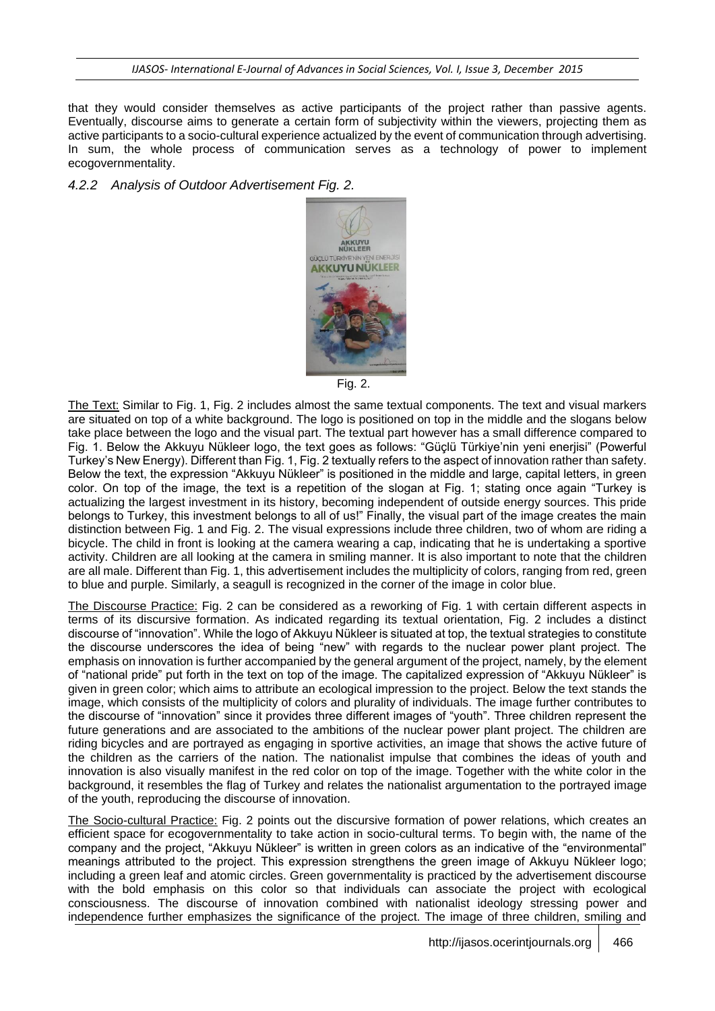that they would consider themselves as active participants of the project rather than passive agents. Eventually, discourse aims to generate a certain form of subjectivity within the viewers, projecting them as active participants to a socio-cultural experience actualized by the event of communication through advertising. In sum, the whole process of communication serves as a technology of power to implement ecogovernmentality.

*4.2.2 Analysis of Outdoor Advertisement Fig. 2.*



Fig. 2.

The Text: Similar to Fig. 1, Fig. 2 includes almost the same textual components. The text and visual markers are situated on top of a white background. The logo is positioned on top in the middle and the slogans below take place between the logo and the visual part. The textual part however has a small difference compared to Fig. 1. Below the Akkuyu Nükleer logo, the text goes as follows: "Güçlü Türkiye'nin yeni enerjisi" (Powerful Turkey's New Energy). Different than Fig. 1, Fig. 2 textually refers to the aspect of innovation rather than safety. Below the text, the expression "Akkuyu Nükleer" is positioned in the middle and large, capital letters, in green color. On top of the image, the text is a repetition of the slogan at Fig. 1; stating once again "Turkey is actualizing the largest investment in its history, becoming independent of outside energy sources. This pride belongs to Turkey, this investment belongs to all of us!" Finally, the visual part of the image creates the main distinction between Fig. 1 and Fig. 2. The visual expressions include three children, two of whom are riding a bicycle. The child in front is looking at the camera wearing a cap, indicating that he is undertaking a sportive activity. Children are all looking at the camera in smiling manner. It is also important to note that the children are all male. Different than Fig. 1, this advertisement includes the multiplicity of colors, ranging from red, green to blue and purple. Similarly, a seagull is recognized in the corner of the image in color blue.

The Discourse Practice: Fig. 2 can be considered as a reworking of Fig. 1 with certain different aspects in terms of its discursive formation. As indicated regarding its textual orientation, Fig. 2 includes a distinct discourse of "innovation". While the logo of Akkuyu Nükleer is situated at top, the textual strategies to constitute the discourse underscores the idea of being "new" with regards to the nuclear power plant project. The emphasis on innovation is further accompanied by the general argument of the project, namely, by the element of "national pride" put forth in the text on top of the image. The capitalized expression of "Akkuyu Nükleer" is given in green color; which aims to attribute an ecological impression to the project. Below the text stands the image, which consists of the multiplicity of colors and plurality of individuals. The image further contributes to the discourse of "innovation" since it provides three different images of "youth". Three children represent the future generations and are associated to the ambitions of the nuclear power plant project. The children are riding bicycles and are portrayed as engaging in sportive activities, an image that shows the active future of the children as the carriers of the nation. The nationalist impulse that combines the ideas of youth and innovation is also visually manifest in the red color on top of the image. Together with the white color in the background, it resembles the flag of Turkey and relates the nationalist argumentation to the portrayed image of the youth, reproducing the discourse of innovation.

The Socio-cultural Practice: Fig. 2 points out the discursive formation of power relations, which creates an efficient space for ecogovernmentality to take action in socio-cultural terms. To begin with, the name of the company and the project, "Akkuyu Nükleer" is written in green colors as an indicative of the "environmental" meanings attributed to the project. This expression strengthens the green image of Akkuyu Nükleer logo; including a green leaf and atomic circles. Green governmentality is practiced by the advertisement discourse with the bold emphasis on this color so that individuals can associate the project with ecological consciousness. The discourse of innovation combined with nationalist ideology stressing power and independence further emphasizes the significance of the project. The image of three children, smiling and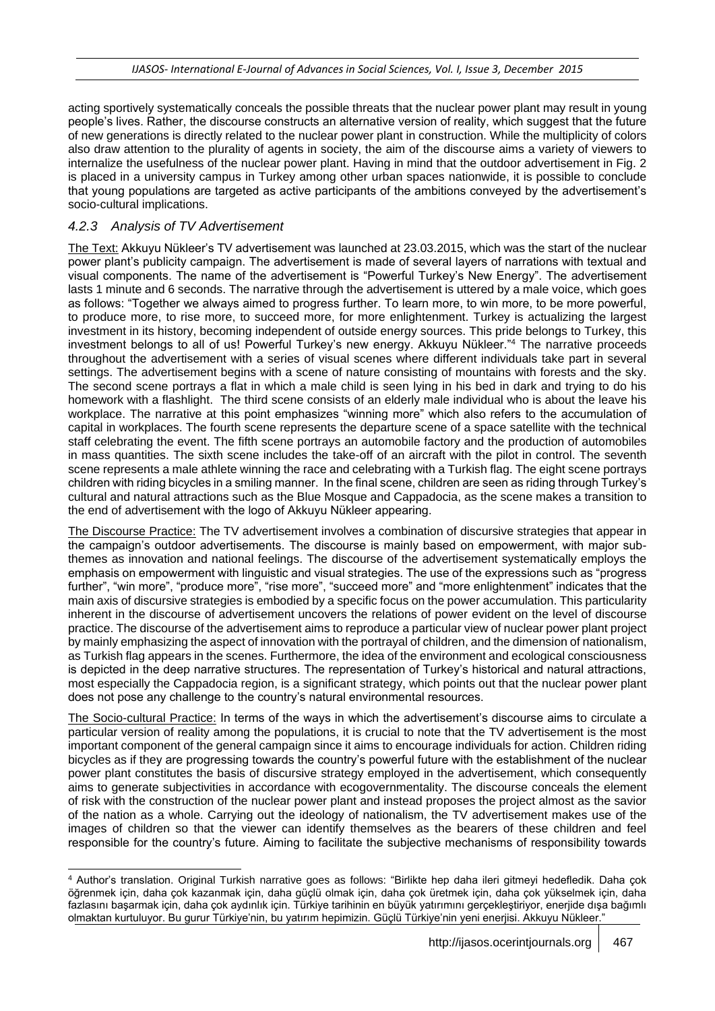acting sportively systematically conceals the possible threats that the nuclear power plant may result in young people's lives. Rather, the discourse constructs an alternative version of reality, which suggest that the future of new generations is directly related to the nuclear power plant in construction. While the multiplicity of colors also draw attention to the plurality of agents in society, the aim of the discourse aims a variety of viewers to internalize the usefulness of the nuclear power plant. Having in mind that the outdoor advertisement in Fig. 2 is placed in a university campus in Turkey among other urban spaces nationwide, it is possible to conclude that young populations are targeted as active participants of the ambitions conveyed by the advertisement's socio-cultural implications.

### *4.2.3 Analysis of TV Advertisement*

The Text: Akkuyu Nükleer's TV advertisement was launched at 23.03.2015, which was the start of the nuclear power plant's publicity campaign. The advertisement is made of several layers of narrations with textual and visual components. The name of the advertisement is "Powerful Turkey's New Energy". The advertisement lasts 1 minute and 6 seconds. The narrative through the advertisement is uttered by a male voice, which goes as follows: "Together we always aimed to progress further. To learn more, to win more, to be more powerful, to produce more, to rise more, to succeed more, for more enlightenment. Turkey is actualizing the largest investment in its history, becoming independent of outside energy sources. This pride belongs to Turkey, this investment belongs to all of us! Powerful Turkey's new energy. Akkuyu Nükleer."<sup>4</sup> The narrative proceeds throughout the advertisement with a series of visual scenes where different individuals take part in several settings. The advertisement begins with a scene of nature consisting of mountains with forests and the sky. The second scene portrays a flat in which a male child is seen lying in his bed in dark and trying to do his homework with a flashlight. The third scene consists of an elderly male individual who is about the leave his workplace. The narrative at this point emphasizes "winning more" which also refers to the accumulation of capital in workplaces. The fourth scene represents the departure scene of a space satellite with the technical staff celebrating the event. The fifth scene portrays an automobile factory and the production of automobiles in mass quantities. The sixth scene includes the take-off of an aircraft with the pilot in control. The seventh scene represents a male athlete winning the race and celebrating with a Turkish flag. The eight scene portrays children with riding bicycles in a smiling manner. In the final scene, children are seen as riding through Turkey's cultural and natural attractions such as the Blue Mosque and Cappadocia, as the scene makes a transition to the end of advertisement with the logo of Akkuyu Nükleer appearing.

The Discourse Practice: The TV advertisement involves a combination of discursive strategies that appear in the campaign's outdoor advertisements. The discourse is mainly based on empowerment, with major subthemes as innovation and national feelings. The discourse of the advertisement systematically employs the emphasis on empowerment with linguistic and visual strategies. The use of the expressions such as "progress further", "win more", "produce more", "rise more", "succeed more" and "more enlightenment" indicates that the main axis of discursive strategies is embodied by a specific focus on the power accumulation. This particularity inherent in the discourse of advertisement uncovers the relations of power evident on the level of discourse practice. The discourse of the advertisement aims to reproduce a particular view of nuclear power plant project by mainly emphasizing the aspect of innovation with the portrayal of children, and the dimension of nationalism, as Turkish flag appears in the scenes. Furthermore, the idea of the environment and ecological consciousness is depicted in the deep narrative structures. The representation of Turkey's historical and natural attractions, most especially the Cappadocia region, is a significant strategy, which points out that the nuclear power plant does not pose any challenge to the country's natural environmental resources.

The Socio-cultural Practice: In terms of the ways in which the advertisement's discourse aims to circulate a particular version of reality among the populations, it is crucial to note that the TV advertisement is the most important component of the general campaign since it aims to encourage individuals for action. Children riding bicycles as if they are progressing towards the country's powerful future with the establishment of the nuclear power plant constitutes the basis of discursive strategy employed in the advertisement, which consequently aims to generate subjectivities in accordance with ecogovernmentality. The discourse conceals the element of risk with the construction of the nuclear power plant and instead proposes the project almost as the savior of the nation as a whole. Carrying out the ideology of nationalism, the TV advertisement makes use of the images of children so that the viewer can identify themselves as the bearers of these children and feel responsible for the country's future. Aiming to facilitate the subjective mechanisms of responsibility towards

l <sup>4</sup> Author's translation. Original Turkish narrative goes as follows: "Birlikte hep daha ileri gitmeyi hedefledik. Daha çok öğrenmek için, daha çok kazanmak için, daha güçlü olmak için, daha çok üretmek için, daha çok yükselmek için, daha fazlasını başarmak için, daha çok aydınlık için. Türkiye tarihinin en büyük yatırımını gerçekleştiriyor, enerjide dışa bağımlı olmaktan kurtuluyor. Bu gurur Türkiye'nin, bu yatırım hepimizin. Güçlü Türkiye'nin yeni enerjisi. Akkuyu Nükleer."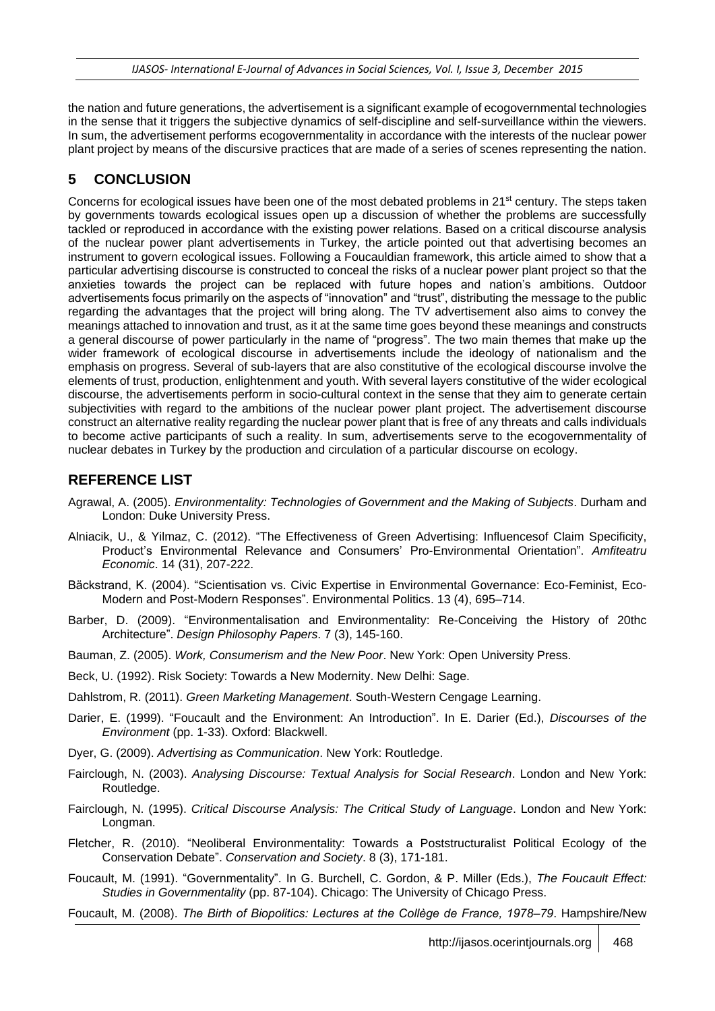the nation and future generations, the advertisement is a significant example of ecogovernmental technologies in the sense that it triggers the subjective dynamics of self-discipline and self-surveillance within the viewers. In sum, the advertisement performs ecogovernmentality in accordance with the interests of the nuclear power plant project by means of the discursive practices that are made of a series of scenes representing the nation.

#### **5 CONCLUSION**

Concerns for ecological issues have been one of the most debated problems in 21<sup>st</sup> century. The steps taken by governments towards ecological issues open up a discussion of whether the problems are successfully tackled or reproduced in accordance with the existing power relations. Based on a critical discourse analysis of the nuclear power plant advertisements in Turkey, the article pointed out that advertising becomes an instrument to govern ecological issues. Following a Foucauldian framework, this article aimed to show that a particular advertising discourse is constructed to conceal the risks of a nuclear power plant project so that the anxieties towards the project can be replaced with future hopes and nation's ambitions. Outdoor advertisements focus primarily on the aspects of "innovation" and "trust", distributing the message to the public regarding the advantages that the project will bring along. The TV advertisement also aims to convey the meanings attached to innovation and trust, as it at the same time goes beyond these meanings and constructs a general discourse of power particularly in the name of "progress". The two main themes that make up the wider framework of ecological discourse in advertisements include the ideology of nationalism and the emphasis on progress. Several of sub-layers that are also constitutive of the ecological discourse involve the elements of trust, production, enlightenment and youth. With several layers constitutive of the wider ecological discourse, the advertisements perform in socio-cultural context in the sense that they aim to generate certain subjectivities with regard to the ambitions of the nuclear power plant project. The advertisement discourse construct an alternative reality regarding the nuclear power plant that is free of any threats and calls individuals to become active participants of such a reality. In sum, advertisements serve to the ecogovernmentality of nuclear debates in Turkey by the production and circulation of a particular discourse on ecology.

#### **REFERENCE LIST**

- Agrawal, A. (2005). *Environmentality: Technologies of Government and the Making of Subjects*. Durham and London: Duke University Press.
- Alniacik, U., & Yilmaz, C. (2012). "The Effectiveness of Green Advertising: Influencesof Claim Specificity, Product's Environmental Relevance and Consumers' Pro-Environmental Orientation". *Amfiteatru Economic*. 14 (31), 207-222.
- Bäckstrand, K. (2004). "Scientisation vs. Civic Expertise in Environmental Governance: Eco-Feminist, Eco-Modern and Post-Modern Responses". Environmental Politics. 13 (4), 695–714.
- Barber, D. (2009). "Environmentalisation and Environmentality: Re-Conceiving the History of 20thc Architecture". *Design Philosophy Papers*. 7 (3), 145-160.
- Bauman, Z. (2005). *Work, Consumerism and the New Poor*. New York: Open University Press.
- Beck, U. (1992). Risk Society: Towards a New Modernity. New Delhi: Sage.
- Dahlstrom, R. (2011). *Green Marketing Management*. South-Western Cengage Learning.
- Darier, E. (1999). "Foucault and the Environment: An Introduction". In E. Darier (Ed.), *Discourses of the Environment* (pp. 1-33). Oxford: Blackwell.
- Dyer, G. (2009). *Advertising as Communication*. New York: Routledge.
- Fairclough, N. (2003). *Analysing Discourse: Textual Analysis for Social Research*. London and New York: Routledge.
- Fairclough, N. (1995). *Critical Discourse Analysis: The Critical Study of Language*. London and New York: Longman.
- Fletcher, R. (2010). "Neoliberal Environmentality: Towards a Poststructuralist Political Ecology of the Conservation Debate". *Conservation and Society*. 8 (3), 171-181.
- Foucault, M. (1991). "Governmentality". In G. Burchell, C. Gordon, & P. Miller (Eds.), *The Foucault Effect: Studies in Governmentality* (pp. 87-104). Chicago: The University of Chicago Press.

Foucault, M. (2008). *The Birth of Biopolitics: Lectures at the Collège de France, 1978–79*. Hampshire/New